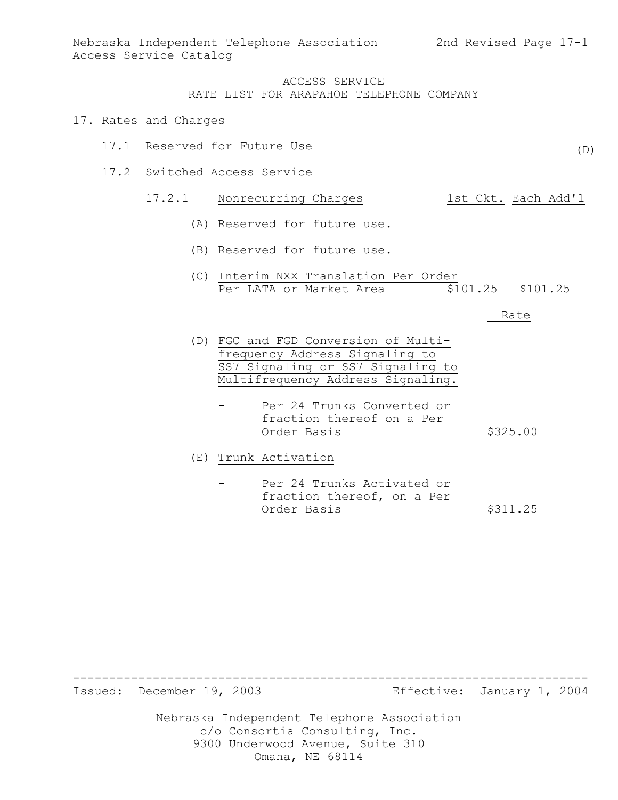(D)

## ACCESS SERVICE RATE LIST FOR ARAPAHOE TELEPHONE COMPANY

#### 17. Rates and Charges

- 17.1 Reserved for Future Use
- 17.2 Switched Access Service

# 17.2.1 Nonrecurring Charges 1st Ckt. Each Add'l

- (A) Reserved for future use.
- (B) Reserved for future use.
- (C) Interim NXX Translation Per Order Per LATA or Market Area  $\overline{$}101.25$  \$101.25

Rate

- (D) FGC and FGD Conversion of Multifrequency Address Signaling to SS7 Signaling or SS7 Signaling to Multifrequency Address Signaling.
	- Per 24 Trunks Converted or fraction thereof on a Per Order Basis \$325.00
- (E) Trunk Activation
	- Per 24 Trunks Activated or fraction thereof, on a Per Order Basis \$311.25

Issued: December 19, 2003 Effective: January 1, 2004

-----------------------------------------------------------------------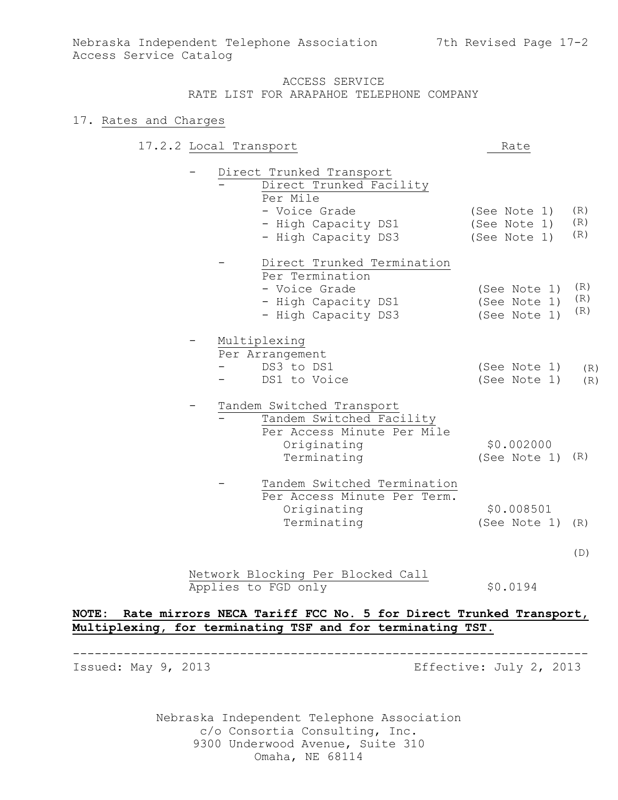## 17. Rates and Charges

| 17.2.2 Local Transport |  |                             | Rate         |     |
|------------------------|--|-----------------------------|--------------|-----|
|                        |  | Direct Trunked Transport    |              |     |
|                        |  | Direct Trunked Facility     |              |     |
|                        |  | Per Mile                    |              |     |
|                        |  | - Voice Grade               | (See Note 1) | (R) |
|                        |  | - High Capacity DS1         | (See Note 1) | (R) |
|                        |  | - High Capacity DS3         | (See Note 1) | (R) |
|                        |  | Direct Trunked Termination  |              |     |
|                        |  | Per Termination             |              |     |
|                        |  | - Voice Grade               | (See Note 1) | (R) |
|                        |  | - High Capacity DS1         | (See Note 1) | (R) |
|                        |  | - High Capacity DS3         | (See Note 1) | (R) |
|                        |  | Multiplexing                |              |     |
|                        |  | Per Arrangement             |              |     |
|                        |  | DS3 to DS1                  | (See Note 1) | (R) |
|                        |  | DS1 to Voice                | (See Note 1) | (R) |
|                        |  | Tandem Switched Transport   |              |     |
|                        |  | Tandem Switched Facility    |              |     |
|                        |  | Per Access Minute Per Mile  |              |     |
|                        |  | Originating                 | \$0.002000   |     |
|                        |  | Terminating                 | (See Note 1) | (R) |
|                        |  | Tandem Switched Termination |              |     |
|                        |  | Per Access Minute Per Term. |              |     |
|                        |  | Originating                 | \$0.008501   |     |
|                        |  | Terminating                 | (See Note 1) | (R) |
|                        |  |                             |              |     |
|                        |  |                             |              |     |

(D)

Network Blocking Per Blocked Call Applies to FGD only \$0.0194

## **NOTE: Rate mirrors NECA Tariff FCC No. 5 for Direct Trunked Transport, Multiplexing, for terminating TSF and for terminating TST.**

----------------------------------------------------------------------- Issued: May 9, 2013 **Example 2013** Effective: July 2, 2013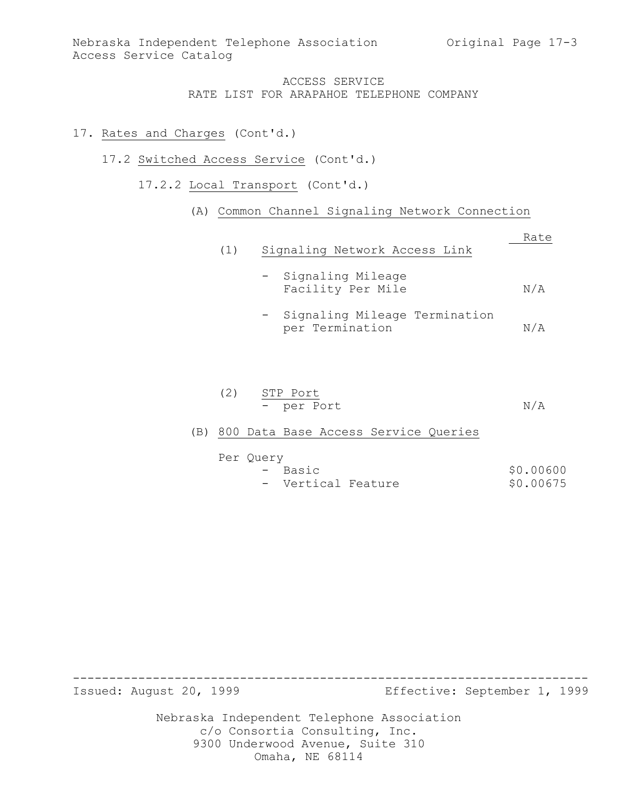## 17. Rates and Charges (Cont'd.)

- 17.2 Switched Access Service (Cont'd.)
	- 17.2.2 Local Transport (Cont'd.)

## (A) Common Channel Signaling Network Connection

|     |                                                    | Rate |
|-----|----------------------------------------------------|------|
| (1) | Signaling Network Access Link                      |      |
|     | - Signaling Mileage<br>Facility Per Mile           | N/A  |
|     | - Signaling Mileage Termination<br>per Termination | N/A  |

(2) STP Port - per Port N/A

## (B) 800 Data Base Access Service Queries

| Per Ouery |                    |  |           |
|-----------|--------------------|--|-----------|
|           | - Basic            |  | \$0.00600 |
|           | - Vertical Feature |  | \$0.00675 |

Issued: August 20, 1999 Effective: September 1, 1999

Nebraska Independent Telephone Association c/o Consortia Consulting, Inc. 9300 Underwood Avenue, Suite 310 Omaha, NE 68114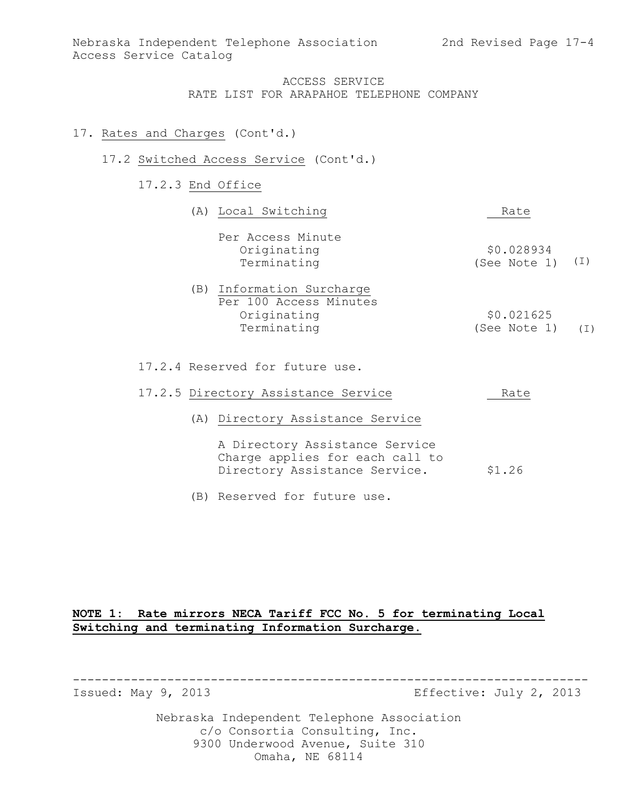## 17. Rates and Charges (Cont'd.)

## 17.2 Switched Access Service (Cont'd.)

17.2.3 End Office

| (A) Local Switching                                                               | Rate                       |     |
|-----------------------------------------------------------------------------------|----------------------------|-----|
| Per Access Minute<br>Originating<br>Terminating                                   | \$0.028934<br>(See Note 1) | (I) |
| (B) Information Surcharge<br>Per 100 Access Minutes<br>Originating<br>Terminating | \$0.021625<br>(See Note 1) | (T) |
|                                                                                   |                            |     |

17.2.4 Reserved for future use.

|  |  | 17.2.5 Directory Assistance Service |  | Rate |
|--|--|-------------------------------------|--|------|
|--|--|-------------------------------------|--|------|

(A) Directory Assistance Service

A Directory Assistance Service Charge applies for each call to Directory Assistance Service. \$1.26

(B) Reserved for future use.

## **NOTE 1: Rate mirrors NECA Tariff FCC No. 5 for terminating Local Switching and terminating Information Surcharge.**

Issued: May 9, 2013 Effective: July 2, 2013

Nebraska Independent Telephone Association c/o Consortia Consulting, Inc. 9300 Underwood Avenue, Suite 310 Omaha, NE 68114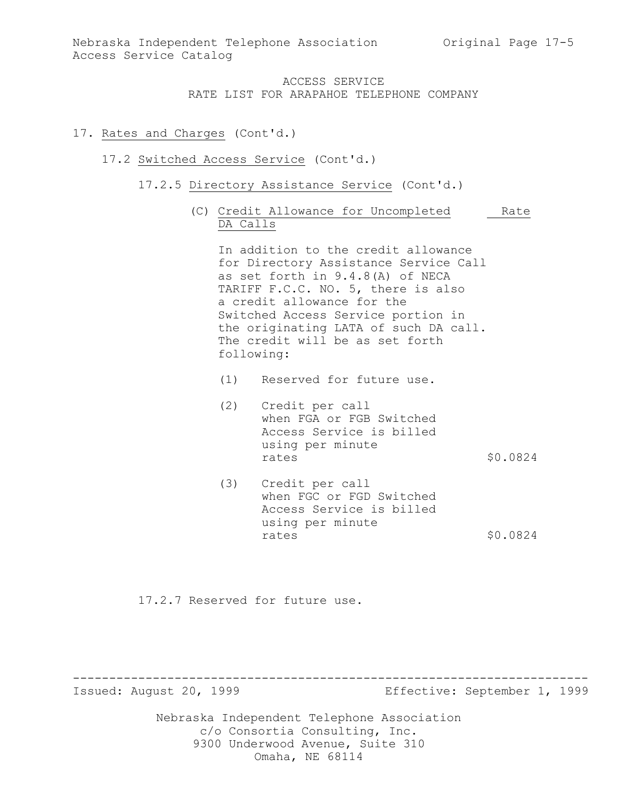#### 17. Rates and Charges (Cont'd.)

#### 17.2 Switched Access Service (Cont'd.)

- 17.2.5 Directory Assistance Service (Cont'd.)
	- (C) Credit Allowance for Uncompleted Rate DA Calls

In addition to the credit allowance for Directory Assistance Service Call as set forth in 9.4.8(A) of NECA TARIFF F.C.C. NO. 5, there is also a credit allowance for the Switched Access Service portion in the originating LATA of such DA call. The credit will be as set forth following:

(1) Reserved for future use.

- (2) Credit per call when FGA or FGB Switched Access Service is billed using per minute rates \$0.0824
- (3) Credit per call when FGC or FGD Switched Access Service is billed using per minute rates  $$0.0824$

17.2.7 Reserved for future use.

Issued: August 20, 1999 Effective: September 1, 1999

Nebraska Independent Telephone Association c/o Consortia Consulting, Inc. 9300 Underwood Avenue, Suite 310 Omaha, NE 68114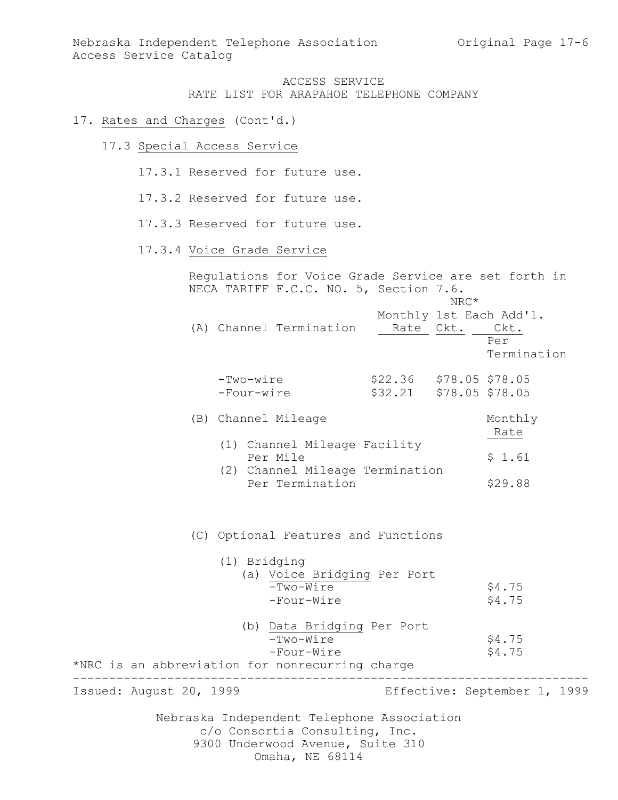#### 17. Rates and Charges (Cont'd.)

17.3 Special Access Service

17.3.1 Reserved for future use.

- 17.3.2 Reserved for future use.
- 17.3.3 Reserved for future use.

### 17.3.4 Voice Grade Service

Regulations for Voice Grade Service are set forth in NECA TARIFF F.C.C. NO. 5, Section 7.6. NRC\* Monthly 1st Each Add'l. (A) Channel Termination Rate Ckt. Ckt. Per Termination -Two-wire \$22.36 \$78.05 \$78.05 -Four-wire \$32.21 \$78.05 \$78.05 (B) Channel Mileage Monthly Rate (1) Channel Mileage Facility Per Mile  $$ 1.61$  (2) Channel Mileage Termination Per Termination \$29.88 (C) Optional Features and Functions (1) Bridging (a) Voice Bridging Per Port  $-Two-Wire$  \$4.75 -Four-Wire \$4.75

| (b) Data Bridging Per Port                      |        |
|-------------------------------------------------|--------|
| -Two-Wire                                       | \$4.75 |
| -Four-Wire                                      | \$4.75 |
| *NRC is an abbreviation for nonrecurring charge |        |

Issued: August 20, 1999 Effective: September 1, 1999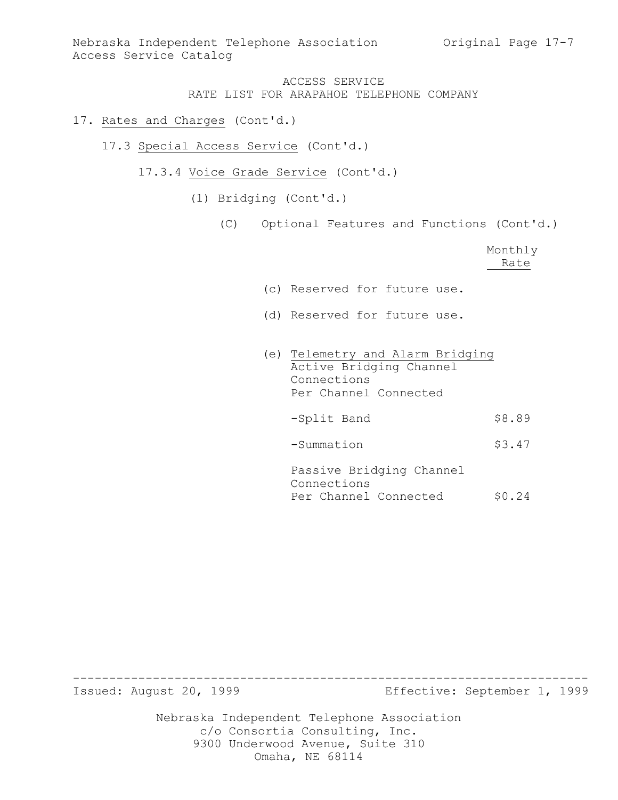Nebraska Independent Telephone Association Original Page 17-7 Access Service Catalog

> ACCESS SERVICE RATE LIST FOR ARAPAHOE TELEPHONE COMPANY

## 17. Rates and Charges (Cont'd.)

- 17.3 Special Access Service (Cont'd.)
	- 17.3.4 Voice Grade Service (Cont'd.)
		- (1) Bridging (Cont'd.)
			- (C) Optional Features and Functions (Cont'd.)

|                                                                                                     | Monthly<br>Rate |
|-----------------------------------------------------------------------------------------------------|-----------------|
| (c) Reserved for future use.                                                                        |                 |
| (d) Reserved for future use.                                                                        |                 |
| (e) Telemetry and Alarm Bridging<br>Active Bridging Channel<br>Connections<br>Per Channel Connected |                 |
| -Split Band                                                                                         | \$8.89          |
| -Summation                                                                                          | \$3.47          |
| Passive Bridging Channel<br>Connections<br>Per Channel Connected                                    | \$0.24          |

Issued: August 20, 1999 Effective: September 1, 1999

Nebraska Independent Telephone Association c/o Consortia Consulting, Inc. 9300 Underwood Avenue, Suite 310 Omaha, NE 68114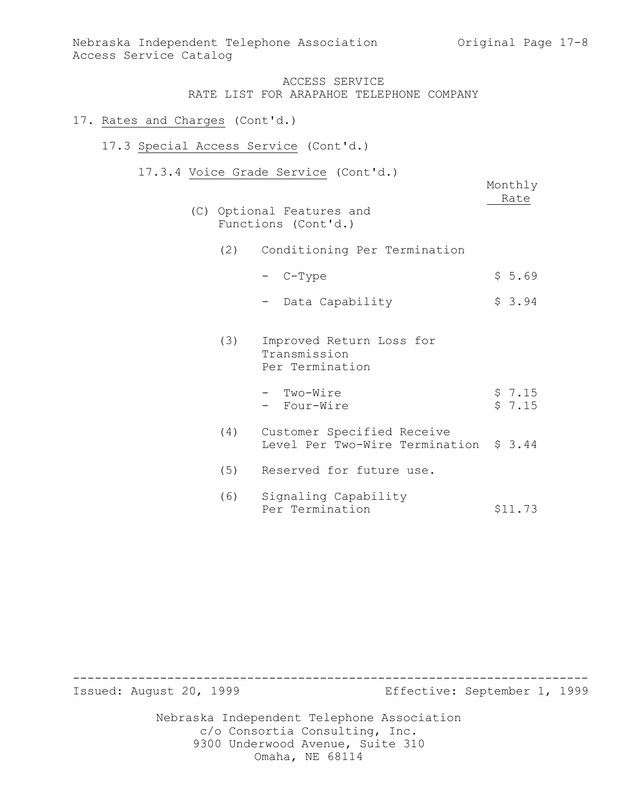Monthly Rate

## ACCESS SERVICE RATE LIST FOR ARAPAHOE TELEPHONE COMPANY

## 17. Rates and Charges (Cont'd.)

## 17.3 Special Access Service (Cont'd.)

- 17.3.4 Voice Grade Service (Cont'd.)
	- (C) Optional Features and Functions (Cont'd.)
		- (2) Conditioning Per Termination
			- $-$  C-Type  $\frac{1}{5.69}$
			- Data Capability \$ 3.94
		- (3) Improved Return Loss for Transmission Per Termination
			- Two-Wire \$ 7.15 - Four-Wire
		- (4) Customer Specified Receive Level Per Two-Wire Termination \$ 3.44
		- (5) Reserved for future use.
		- (6) Signaling Capability Per Termination \$11.73

Issued: August 20, 1999 Effective: September 1, 1999

Nebraska Independent Telephone Association c/o Consortia Consulting, Inc. 9300 Underwood Avenue, Suite 310 Omaha, NE 68114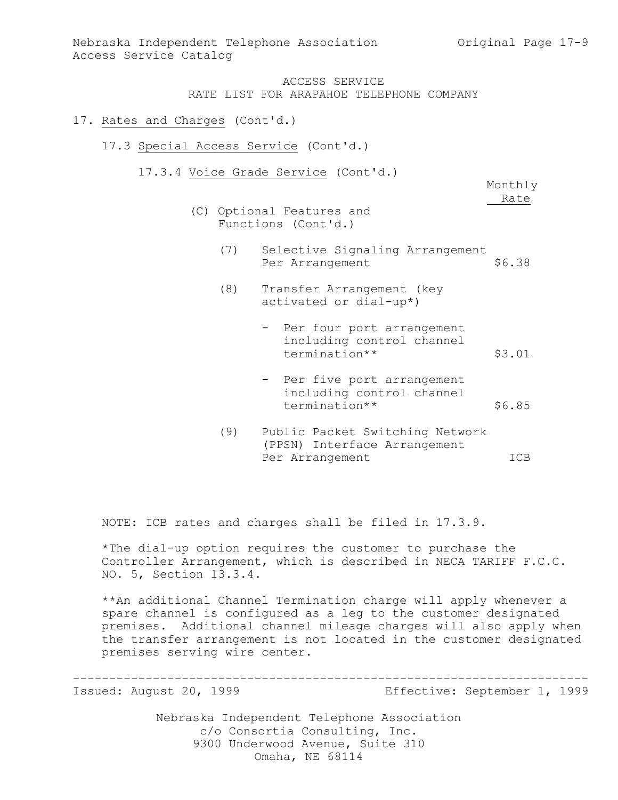Nebraska Independent Telephone Association 6 0riginal Page 17-9 Access Service Catalog

## ACCESS SERVICE RATE LIST FOR ARAPAHOE TELEPHONE COMPANY

#### 17. Rates and Charges (Cont'd.)

- 17.3 Special Access Service (Cont'd.)
	- 17.3.4 Voice Grade Service (Cont'd.)

Monthly Rate

- (C) Optional Features and Functions (Cont'd.)
	- (7) Selective Signaling Arrangement Per Arrangement \$6.38
	- (8) Transfer Arrangement (key activated or dial-up\*)
		- Per four port arrangement including control channel termination\*\* \$3.01
		- Per five port arrangement including control channel termination\*\* \$6.85
	- (9) Public Packet Switching Network (PPSN) Interface Arrangement Per Arrangement ICB

NOTE: ICB rates and charges shall be filed in 17.3.9.

\*The dial-up option requires the customer to purchase the Controller Arrangement, which is described in NECA TARIFF F.C.C. NO. 5, Section 13.3.4.

\*\*An additional Channel Termination charge will apply whenever a spare channel is configured as a leg to the customer designated premises. Additional channel mileage charges will also apply when the transfer arrangement is not located in the customer designated premises serving wire center.

-----------------------------------------------------------------------

Issued: August 20, 1999 Effective: September 1, 1999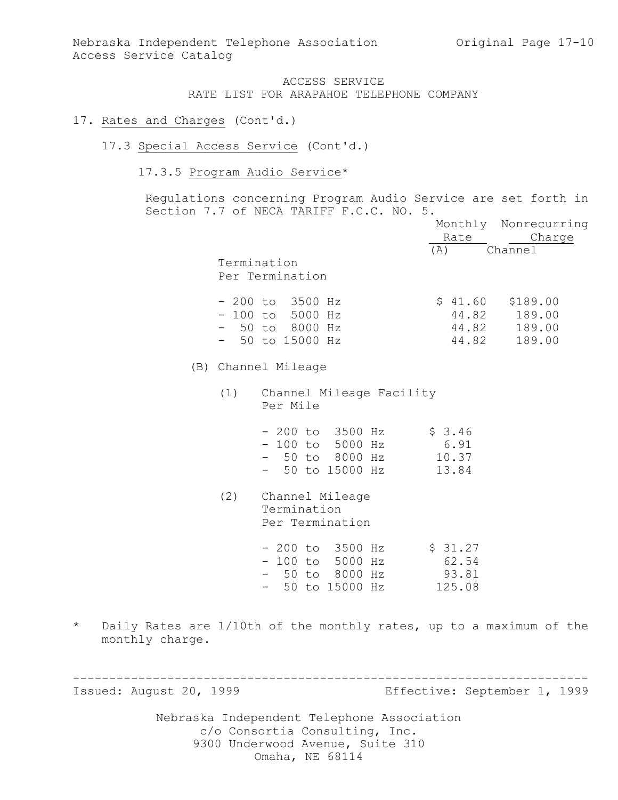### 17. Rates and Charges (Cont'd.)

#### 17.3 Special Access Service (Cont'd.)

## 17.3.5 Program Audio Service\*

Regulations concerning Program Audio Service are set forth in Section 7.7 of NECA TARIFF F.C.C. NO. 5.

|     |                                                                                                 |                                     | Monthly Nonrecurring                                               |
|-----|-------------------------------------------------------------------------------------------------|-------------------------------------|--------------------------------------------------------------------|
|     |                                                                                                 | Rate                                | Charge                                                             |
|     | Termination<br>Per Termination                                                                  | (A)                                 | Channel                                                            |
|     | $-200$ to 3500 Hz<br>$-100$ to 5000 Hz<br>$-50$ to 8000 Hz<br>50 to 15000 Hz                    |                                     | $$41.60$ $$189.00$<br>44.82 189.00<br>44.82 189.00<br>44.82 189.00 |
|     | (B) Channel Mileage                                                                             |                                     |                                                                    |
| (1) | Channel Mileage Facility<br>Per Mile                                                            |                                     |                                                                    |
|     | $-200$ to $3500$ Hz<br>- 100 to 5000 Hz<br>- 50 to 8000 Hz<br>- 50 to 15000 Hz                  | \$3.46<br>6.91<br>10.37<br>13.84    |                                                                    |
| (2) | Channel Mileage<br>Termination<br>Per Termination                                               |                                     |                                                                    |
|     | $-200$ to $3500$ Hz<br>$-100$ to 5000 Hz<br>$-50$ to 8000 Hz<br>50 to 15000 Hz<br>$\sim$ $\sim$ | \$31.27<br>62.54<br>93.81<br>125.08 |                                                                    |

-----------------------------------------------------------------------

\* Daily Rates are 1/10th of the monthly rates, up to a maximum of the monthly charge.

Issued: August 20, 1999 Effective: September 1, 1999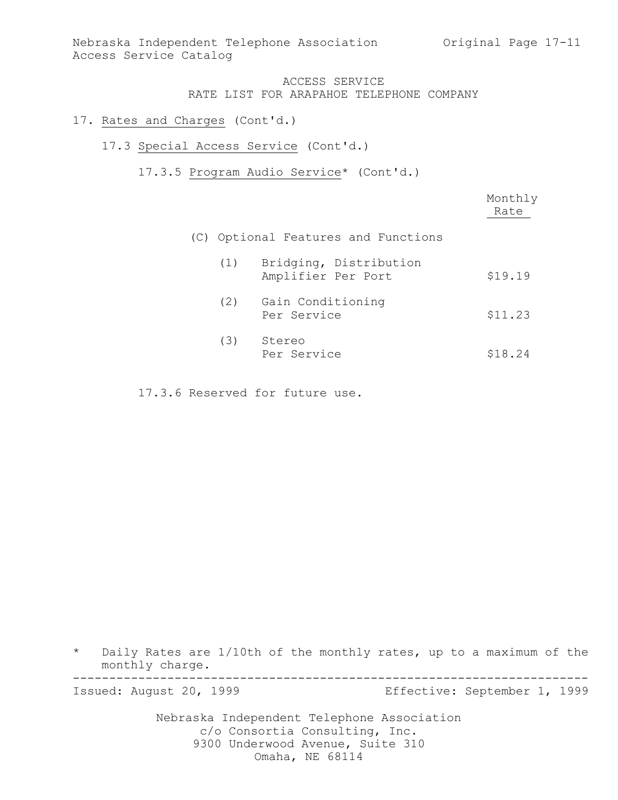Nebraska Independent Telephone Association Original Page 17-11 Access Service Catalog

## ACCESS SERVICE RATE LIST FOR ARAPAHOE TELEPHONE COMPANY

## 17. Rates and Charges (Cont'd.)

## 17.3 Special Access Service (Cont'd.)

17.3.5 Program Audio Service\* (Cont'd.)

|     |                                              | Monthly<br>Rate |
|-----|----------------------------------------------|-----------------|
|     | (C) Optional Features and Functions          |                 |
| (1) | Bridging, Distribution<br>Amplifier Per Port | \$19.19         |
| (2) | Gain Conditioning<br>Per Service             | \$11.23         |
| (3) | Stereo<br>Per Service                        | \$18.24         |

17.3.6 Reserved for future use.

\* Daily Rates are 1/10th of the monthly rates, up to a maximum of the monthly charge. -----------------------------------------------------------------------

Issued: August 20, 1999 Effective: September 1, 1999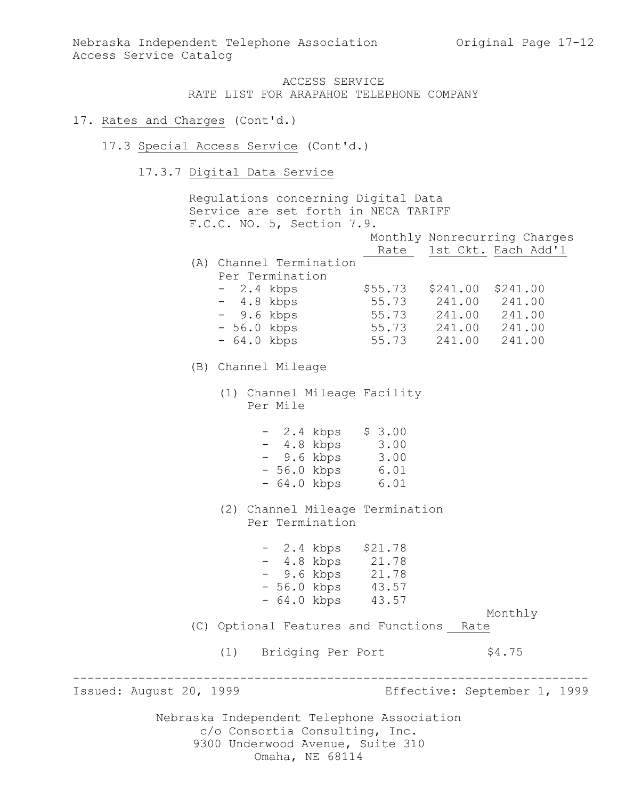#### 17. Rates and Charges (Cont'd.)

- 17.3 Special Access Service (Cont'd.)
	- 17.3.7 Digital Data Service

Nebraska Independent Telephone Association c/o Consortia Consulting, Inc. Regulations concerning Digital Data Service are set forth in NECA TARIFF F.C.C. NO. 5, Section 7.9. Monthly Nonrecurring Charges Rate 1st Ckt. Each Add'1 (A) Channel Termination Per Termination - 2.4 kbps \$55.73 \$241.00 \$241.00 - 4.8 kbps 55.73 241.00 241.00 - 9.6 kbps 55.73 241.00 241.00 - 56.0 kbps 55.73 241.00 241.00 - 64.0 kbps 55.73 241.00 241.00 (B) Channel Mileage (1) Channel Mileage Facility Per Mile - 2.4 kbps \$ 3.00 - 4.8 kbps 3.00 - 9.6 kbps 3.00 - 56.0 kbps 6.01 - 64.0 kbps 6.01 (2) Channel Mileage Termination Per Termination - 2.4 kbps \$21.78 - 4.8 kbps 21.78 - 9.6 kbps 21.78 - 56.0 kbps 43.57 - 64.0 kbps 43.57 Monthly (C) Optional Features and Functions Rate (1) Bridging Per Port \$4.75 ----------------------------------------------------------------------- Issued: August 20, 1999 Effective: September 1, 1999

9300 Underwood Avenue, Suite 310

Omaha, NE 68114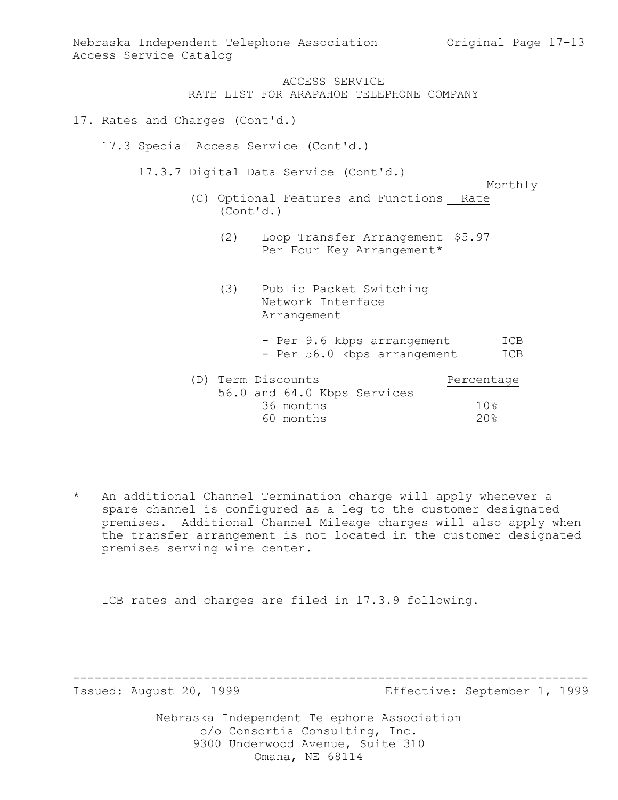Nebraska Independent Telephone Association Original Page 17-13 Access Service Catalog

## ACCESS SERVICE RATE LIST FOR ARAPAHOE TELEPHONE COMPANY

#### 17. Rates and Charges (Cont'd.)

- 17.3 Special Access Service (Cont'd.)
	- 17.3.7 Digital Data Service (Cont'd.)
		- Monthly (C) Optional Features and Functions Rate (Cont'd.)
			- (2) Loop Transfer Arrangement \$5.97 Per Four Key Arrangement\*
			- (3) Public Packet Switching Network Interface Arrangement
				- Per 9.6 kbps arrangement ICB - Per 56.0 kbps arrangement ICB
		- (D) Term Discounts Percentage 56.0 and 64.0 Kbps Services 36 months 10% 60 months 20%
- \* An additional Channel Termination charge will apply whenever a spare channel is configured as a leg to the customer designated premises. Additional Channel Mileage charges will also apply when the transfer arrangement is not located in the customer designated premises serving wire center.

ICB rates and charges are filed in 17.3.9 following.

Issued: August 20, 1999 Effective: September 1, 1999

Nebraska Independent Telephone Association c/o Consortia Consulting, Inc. 9300 Underwood Avenue, Suite 310 Omaha, NE 68114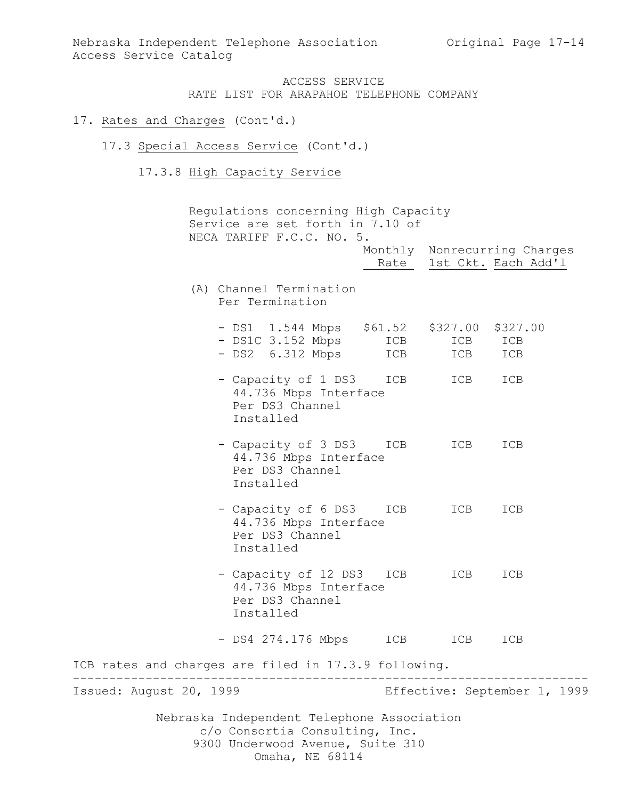## 17. Rates and Charges (Cont'd.)

#### 17.3 Special Access Service (Cont'd.)

17.3.8 High Capacity Service

Nebraska Independent Telephone Association c/o Consortia Consulting, Inc. 9300 Underwood Avenue, Suite 310 Regulations concerning High Capacity Service are set forth in 7.10 of NECA TARIFF F.C.C. NO. 5. Monthly Nonrecurring Charges Rate 1st Ckt. Each Add'1 (A) Channel Termination Per Termination - DS1 1.544 Mbps \$61.52 \$327.00 \$327.00 - DS1C 3.152 Mbps ICB ICB ICB - DS2 6.312 Mbps ICB ICB ICB - Capacity of 1 DS3 ICB ICB ICB 44.736 Mbps Interface Per DS3 Channel Installed - Capacity of 3 DS3 ICB ICB ICB 44.736 Mbps Interface Per DS3 Channel Installed - Capacity of 6 DS3 ICB ICB ICB 44.736 Mbps Interface Per DS3 Channel Installed - Capacity of 12 DS3 ICB ICB ICB 44.736 Mbps Interface Per DS3 Channel Installed - DS4 274.176 Mbps ICB ICB ICB ICB rates and charges are filed in 17.3.9 following. ----------------------------------------------------------------------- Issued: August 20, 1999 Effective: September 1, 1999

Omaha, NE 68114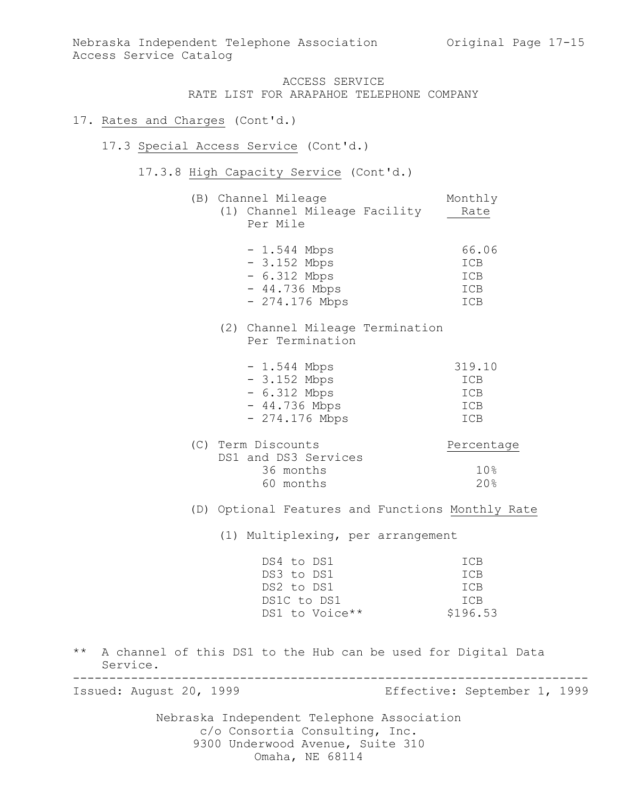Nebraska Independent Telephone Association Original Page 17-15 Access Service Catalog

## ACCESS SERVICE RATE LIST FOR ARAPAHOE TELEPHONE COMPANY

#### 17. Rates and Charges (Cont'd.)

#### 17.3 Special Access Service (Cont'd.)

17.3.8 High Capacity Service (Cont'd.)

|  | (B) Channel Mileage |  |                              |      |
|--|---------------------|--|------------------------------|------|
|  |                     |  | (1) Channel Mileage Facility | Rate |
|  | Per Mile            |  |                              |      |

| $-1.544$ Mbps   | 66.06      |
|-----------------|------------|
| $-3.152$ Mbps   | ICB        |
| $-6.312$ Mbps   | ICB        |
| $-44.736$ Mbps  | ICB        |
| $-274.176$ Mbps | <b>TCB</b> |

## (2) Channel Mileage Termination Per Termination

| $-1.544$ Mbps   | 319.10     |
|-----------------|------------|
| $-3.152$ Mbps   | ICB        |
| $-6.312$ Mbps   | ICB        |
| $-44.736$ Mbps  | ICB        |
| $-274.176$ Mbps | <b>TCB</b> |

| Percentage |
|------------|
|            |
| 10%        |
| $20$ .     |
|            |

(D) Optional Features and Functions Monthly Rate

(1) Multiplexing, per arrangement

| DS4 to DS1     | <b>TCB</b> |
|----------------|------------|
| DS3 to DS1     | <b>TCB</b> |
| DS2 to DS1     | <b>TCB</b> |
| DS1C to DS1    | <b>TCB</b> |
| DS1 to Voice** | \$196.53   |

\*\* A channel of this DS1 to the Hub can be used for Digital Data Service. -----------------------------------------------------------------------

Issued: August 20, 1999 Effective: September 1, 1999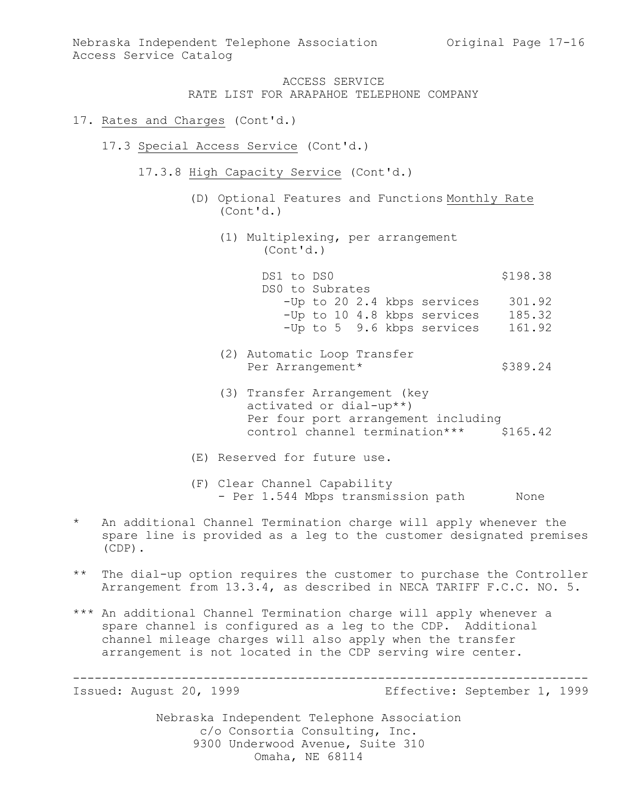### 17. Rates and Charges (Cont'd.)

- 17.3 Special Access Service (Cont'd.)
	- 17.3.8 High Capacity Service (Cont'd.)
		- (D) Optional Features and Functions Monthly Rate (Cont'd.)
			- (1) Multiplexing, per arrangement (Cont'd.)

DS1 to DS0 \$198.38 DS0 to Subrates -Up to 20 2.4 kbps services 301.92 -Up to 10 4.8 kbps services 185.32 -Up to 5 9.6 kbps services 161.92

- (2) Automatic Loop Transfer Per Arrangement\* \$389.24
- (3) Transfer Arrangement (key activated or dial-up\*\*) Per four port arrangement including control channel termination\*\*\* \$165.42
- (E) Reserved for future use.
- (F) Clear Channel Capability - Per 1.544 Mbps transmission path None
- \* An additional Channel Termination charge will apply whenever the spare line is provided as a leg to the customer designated premises (CDP).
- \*\* The dial-up option requires the customer to purchase the Controller Arrangement from 13.3.4, as described in NECA TARIFF F.C.C. NO. 5.
- \*\*\* An additional Channel Termination charge will apply whenever a spare channel is configured as a leg to the CDP. Additional channel mileage charges will also apply when the transfer arrangement is not located in the CDP serving wire center.

----------------------------------------------------------------------- Issued: August 20, 1999 Effective: September 1, 1999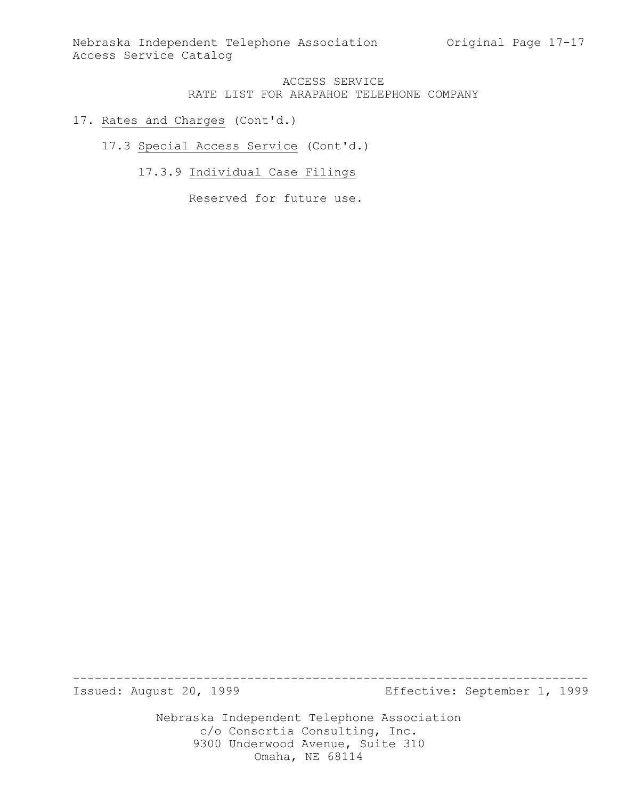Nebraska Independent Telephone Association Original Page 17-17 Access Service Catalog

## ACCESS SERVICE RATE LIST FOR ARAPAHOE TELEPHONE COMPANY

## 17. Rates and Charges (Cont'd.)

17.3 Special Access Service (Cont'd.)

17.3.9 Individual Case Filings

Reserved for future use.

Issued: August 20, 1999 Effective: September 1, 1999

Nebraska Independent Telephone Association c/o Consortia Consulting, Inc. 9300 Underwood Avenue, Suite 310 Omaha, NE 68114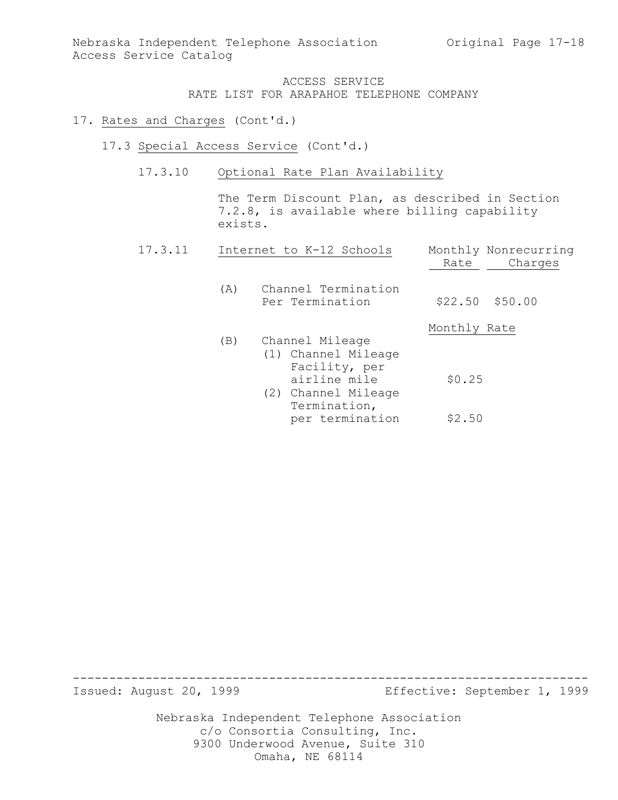## 17. Rates and Charges (Cont'd.)

- 17.3 Special Access Service (Cont'd.)
	- 17.3.10 Optional Rate Plan Availability

The Term Discount Plan, as described in Section 7.2.8, is available where billing capability exists.

| 17.3.11 |     | Internet to K-12 Schools                                                                                       | Rate         | Monthly Nonrecurring<br>Charges |
|---------|-----|----------------------------------------------------------------------------------------------------------------|--------------|---------------------------------|
|         | (A) | Channel Termination<br>Per Termination                                                                         |              | $$22.50$ $$50.00$               |
|         |     |                                                                                                                | Monthly Rate |                                 |
|         | (B) | Channel Mileage<br>(1) Channel Mileage<br>Facility, per<br>airline mile<br>(2) Channel Mileage<br>Termination, | \$0.25       |                                 |
|         |     | per termination                                                                                                | \$2.50       |                                 |

Issued: August 20, 1999 Effective: September 1, 1999

Nebraska Independent Telephone Association c/o Consortia Consulting, Inc. 9300 Underwood Avenue, Suite 310 Omaha, NE 68114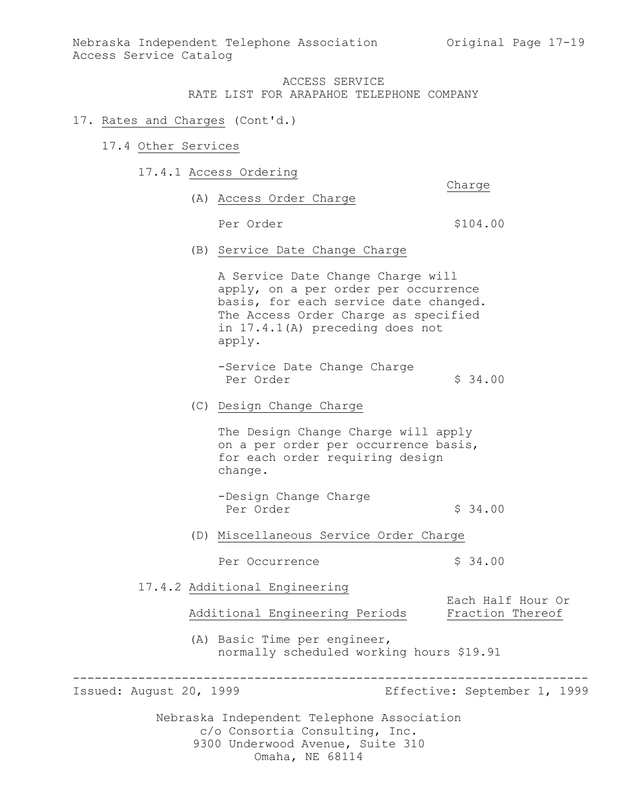Nebraska Independent Telephone Association (Original Page 17-19) Access Service Catalog

> ACCESS SERVICE RATE LIST FOR ARAPAHOE TELEPHONE COMPANY

#### 17. Rates and Charges (Cont'd.)

#### 17.4 Other Services

17.4.1 Access Ordering

Charge

(A) Access Order Charge

Per Order  $$104.00$ 

(B) Service Date Change Charge

A Service Date Change Charge will apply, on a per order per occurrence basis, for each service date changed. The Access Order Charge as specified in 17.4.1(A) preceding does not apply.

-Service Date Change Charge Per Order \$ 34.00

## (C) Design Change Charge

The Design Change Charge will apply on a per order per occurrence basis, for each order requiring design change.

-Design Change Charge Per Order  $\sim$  \$ 34.00

(D) Miscellaneous Service Order Charge

Per Occurrence  $\frac{1}{2}$  \$ 34.00

17.4.2 Additional Engineering

Additional Engineering Periods Fraction Thereof

(A) Basic Time per engineer, normally scheduled working hours \$19.91

-----------------------------------------------------------------------

Issued: August 20, 1999 Effective: September 1, 1999

Each Half Hour Or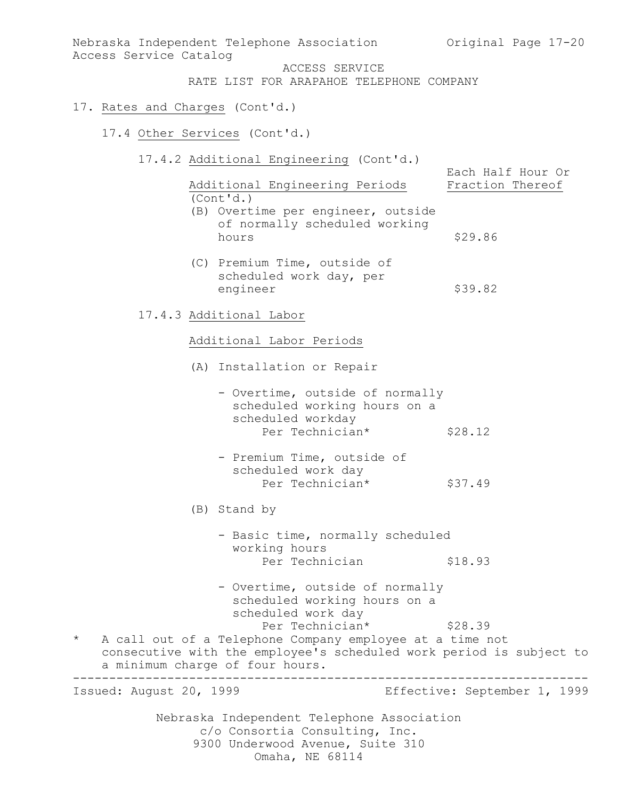Nebraska Independent Telephone Association c/o Consortia Consulting, Inc. 9300 Underwood Avenue, Suite 310 Nebraska Independent Telephone Association (Original Page 17-20) Access Service Catalog ACCESS SERVICE RATE LIST FOR ARAPAHOE TELEPHONE COMPANY 17. Rates and Charges (Cont'd.) 17.4 Other Services (Cont'd.) 17.4.2 Additional Engineering (Cont'd.) Each Half Hour Or Additional Engineering Periods Fraction Thereof (Cont'd.) (B) Overtime per engineer, outside of normally scheduled working hours \$29.86 (C) Premium Time, outside of scheduled work day, per engineer \$39.82 17.4.3 Additional Labor Additional Labor Periods (A) Installation or Repair - Overtime, outside of normally scheduled working hours on a scheduled workday Per Technician\* \$28.12 - Premium Time, outside of scheduled work day Per Technician\* \$37.49 (B) Stand by - Basic time, normally scheduled working hours Per Technician \$18.93 - Overtime, outside of normally scheduled working hours on a scheduled work day Per Technician\* \$28.39 \* A call out of a Telephone Company employee at a time not consecutive with the employee's scheduled work period is subject to a minimum charge of four hours. ----------------------------------------------------------------------- Issued: August 20, 1999 Effective: September 1, 1999

Omaha, NE 68114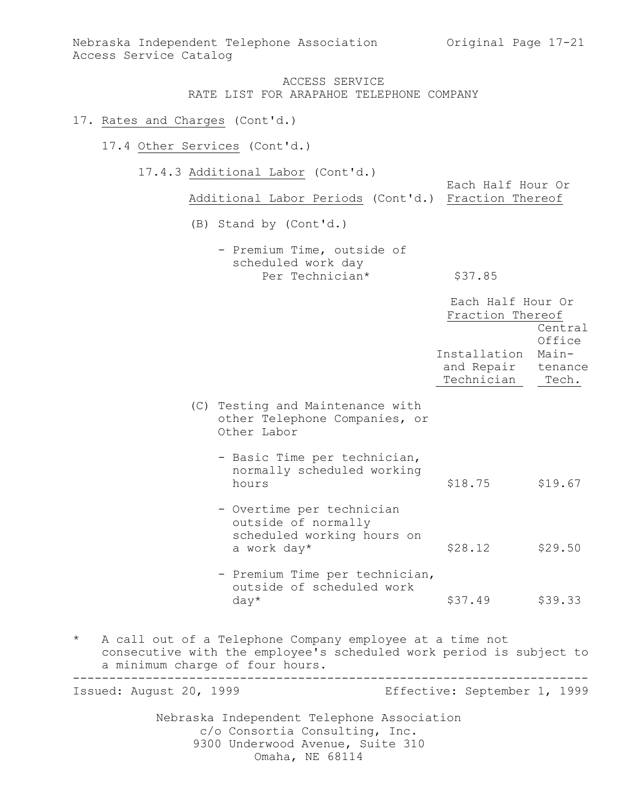Nebraska Independent Telephone Association (Original Page 17-21) Access Service Catalog

## ACCESS SERVICE RATE LIST FOR ARAPAHOE TELEPHONE COMPANY

#### 17. Rates and Charges (Cont'd.)

17.4 Other Services (Cont'd.)

17.4.3 Additional Labor (Cont'd.)

Each Half Hour Or Additional Labor Periods (Cont'd.) Fraction Thereof

(B) Stand by (Cont'd.)

- Premium Time, outside of scheduled work day Per Technician\* \$37.85

|                                                                                                                                                                  | Each Half Hour Or<br>Fraction Thereof            |                                     |
|------------------------------------------------------------------------------------------------------------------------------------------------------------------|--------------------------------------------------|-------------------------------------|
|                                                                                                                                                                  | Installation<br>and Repair tenance<br>Technician | Central<br>Office<br>Main-<br>Tech. |
| (C) Testing and Maintenance with<br>other Telephone Companies, or<br>Other Labor                                                                                 |                                                  |                                     |
| - Basic Time per technician,<br>normally scheduled working<br>hours                                                                                              | \$18.75                                          | \$19.67                             |
| - Overtime per technician<br>outside of normally<br>scheduled working hours on<br>a work day*                                                                    | \$28.12                                          | \$29.50                             |
| - Premium Time per technician,<br>outside of scheduled work<br>$day*$                                                                                            | \$37.49                                          | \$39.33                             |
| of a Telephone Company employee at a time not<br>the contract of the contract of the contract of the contract of the contract of the contract of the contract of |                                                  |                                     |

 $*$  A call out consecutive with the employee's scheduled work period is subject to a minimum charge of four hours. -----------------------------------------------------------------------

Nebraska Independent Telephone Association Issued: August 20, 1999 Effective: September 1, 1999

> c/o Consortia Consulting, Inc. 9300 Underwood Avenue, Suite 310

Omaha, NE 68114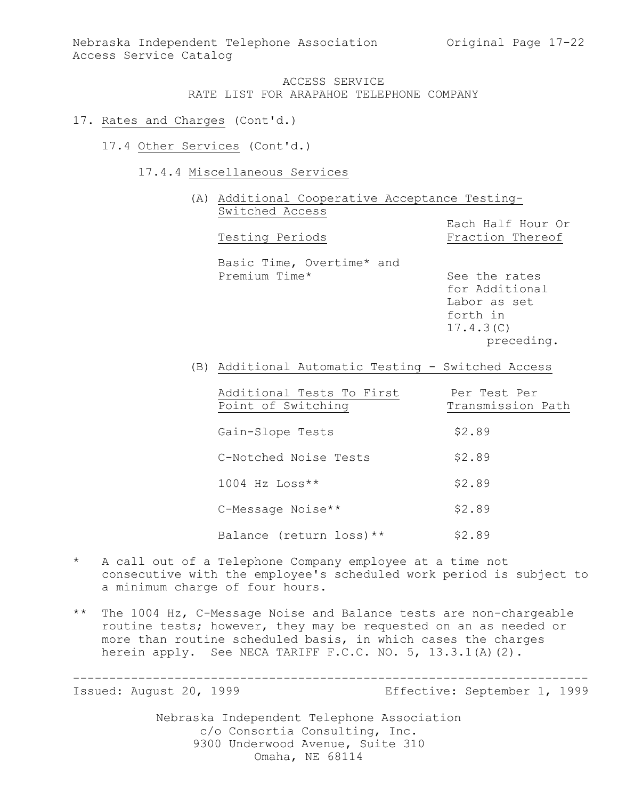Nebraska Independent Telephone Association (Original Page 17-22) Access Service Catalog

## ACCESS SERVICE RATE LIST FOR ARAPAHOE TELEPHONE COMPANY

#### 17. Rates and Charges (Cont'd.)

- 17.4 Other Services (Cont'd.)
	- 17.4.4 Miscellaneous Services

(A) Additional Cooperative Acceptance Testing-Switched Access

Each Half Hour Or Testing Periods Fraction Thereof Basic Time, Overtime\* and Premium Time\* See the rates

for Additional Labor as set forth in 17.4.3(C) preceding.

(B) Additional Automatic Testing - Switched Access

| Additional Tests To First | Per Test Per      |
|---------------------------|-------------------|
| Point of Switching        | Transmission Path |
|                           |                   |
| Gain-Slope Tests          | \$2.89            |
|                           |                   |
| C-Notched Noise Tests     | \$2.89            |
| $1004$ Hz Loss**          | \$2.89            |
|                           |                   |
| C-Message Noise**         | \$2.89            |
|                           |                   |
| Balance (return loss) **  | \$2.89            |

- \* A call out of a Telephone Company employee at a time not consecutive with the employee's scheduled work period is subject to a minimum charge of four hours.
- \*\* The 1004 Hz, C-Message Noise and Balance tests are non-chargeable routine tests; however, they may be requested on an as needed or more than routine scheduled basis, in which cases the charges herein apply. See NECA TARIFF F.C.C. NO. 5, 13.3.1(A)(2).

----------------------------------------------------------------------- Issued: August 20, 1999 Effective: September 1, 1999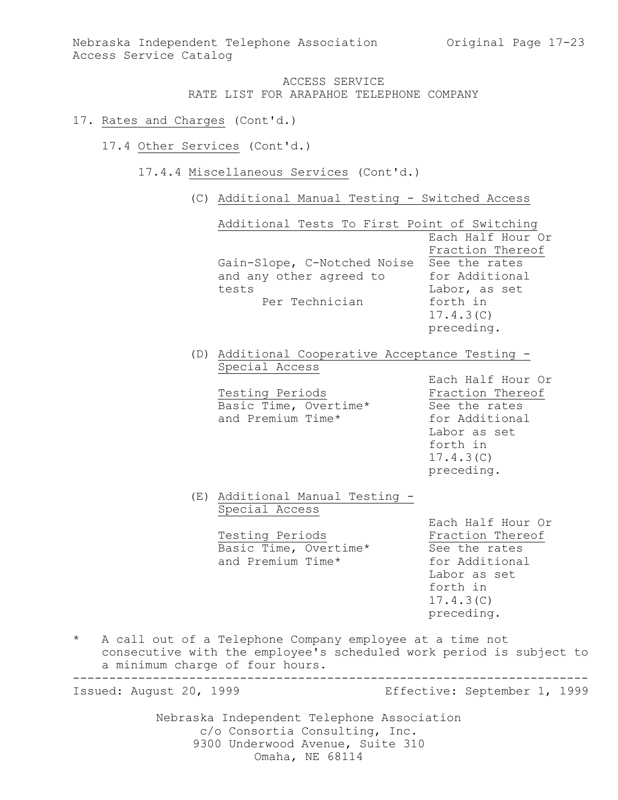Nebraska Independent Telephone Association Original Page 17-23 Access Service Catalog

> ACCESS SERVICE RATE LIST FOR ARAPAHOE TELEPHONE COMPANY

#### 17. Rates and Charges (Cont'd.)

- 17.4 Other Services (Cont'd.)
	- 17.4.4 Miscellaneous Services (Cont'd.)
		- (C) Additional Manual Testing Switched Access

|         |                                 | Additional Tests To First Point of Switching<br>Gain-Slope, C-Notched Noise<br>and any other agreed to<br>tests<br>Per Technician  | Each Half Hour Or<br>Fraction Thereof<br>See the rates<br>for Additional<br>Labor, as set<br>forth in<br>17.4.3(C)<br>preceding. |
|---------|---------------------------------|------------------------------------------------------------------------------------------------------------------------------------|----------------------------------------------------------------------------------------------------------------------------------|
|         |                                 | (D) Additional Cooperative Acceptance Testing -<br>Special Access<br>Testing Periods<br>Basic Time, Overtime*<br>and Premium Time* | Each Half Hour Or<br>Fraction Thereof<br>See the rates<br>for Additional<br>Labor as set<br>forth in<br>17.4.3(C)<br>preceding.  |
|         |                                 | (E) Additional Manual Testing -<br>Special Access<br>Testing Periods<br>Basic Time, Overtime*<br>and Premium Time*                 | Each Half Hour Or<br>Fraction Thereof<br>See the rates<br>for Additional<br>Labor as set<br>forth in<br>17.4.3(C)<br>preceding.  |
| $\star$ | a minimum charge of four hours. | A call out of a Telephone Company employee at a time not                                                                           | consecutive with the employee's scheduled work period is subject to                                                              |
|         | Issued: August 20, 1999         |                                                                                                                                    | Effective: September 1, 1999                                                                                                     |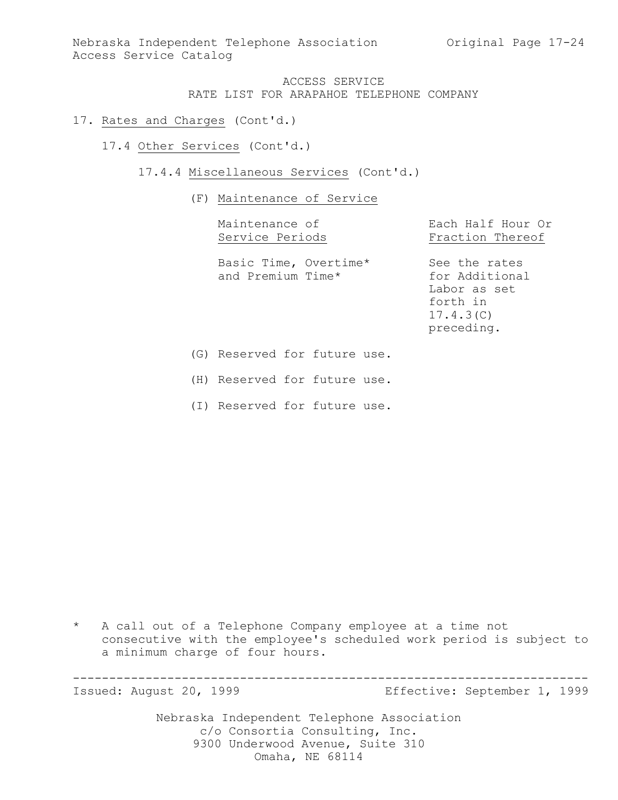Nebraska Independent Telephone Association Original Page 17-24 Access Service Catalog

## ACCESS SERVICE RATE LIST FOR ARAPAHOE TELEPHONE COMPANY

#### 17. Rates and Charges (Cont'd.)

17.4 Other Services (Cont'd.)

17.4.4 Miscellaneous Services (Cont'd.)

(F) Maintenance of Service

Maintenance of **Each Half Hour Or** 

Service Periods Fraction Thereof

Basic Time, Overtime\* See the rates and Premium Time\* for Additional

Labor as set forth in 17.4.3(C) preceding.

(G) Reserved for future use.

(H) Reserved for future use.

(I) Reserved for future use.

\* A call out of a Telephone Company employee at a time not consecutive with the employee's scheduled work period is subject to a minimum charge of four hours.

----------------------------------------------------------------------- Issued: August 20, 1999 Effective: September 1, 1999